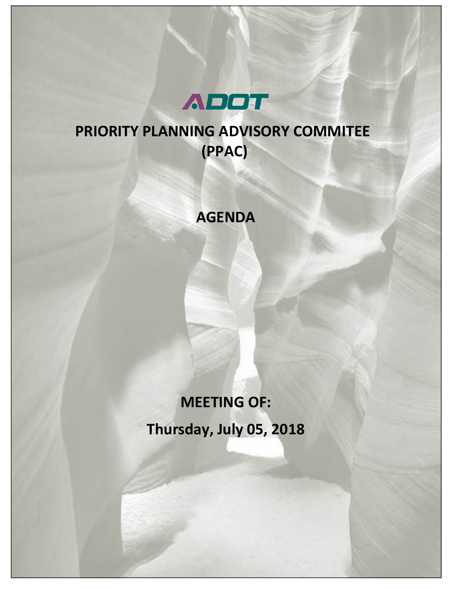

# **PRIORITY PLANNING ADVISORY COMMITEE (PPAC)**

## **AGENDA**

# **MEETING OF: Thursday, July 05, 2018**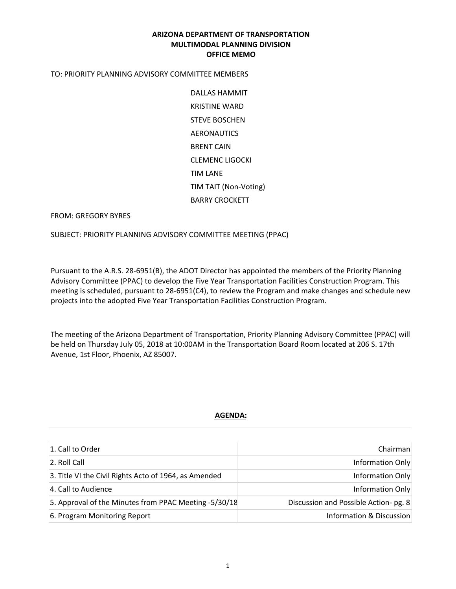#### **ARIZONA DEPARTMENT OF TRANSPORTATION MULTIMODAL PLANNING DIVISION OFFICE MEMO**

#### TO: PRIORITY PLANNING ADVISORY COMMITTEE MEMBERS

DALLAS HAMMIT KRISTINE WARD STEVE BOSCHEN AERONAUTICS BRENT CAIN CLEMENC LIGOCKI TIM LANE TIM TAIT (Non-Voting) BARRY CROCKETT

#### FROM: GREGORY BYRES

SUBJECT: PRIORITY PLANNING ADVISORY COMMITTEE MEETING (PPAC)

Pursuant to the A.R.S. 28-6951(B), the ADOT Director has appointed the members of the Priority Planning Advisory Committee (PPAC) to develop the Five Year Transportation Facilities Construction Program. This meeting is scheduled, pursuant to 28-6951(C4), to review the Program and make changes and schedule new projects into the adopted Five Year Transportation Facilities Construction Program.

The meeting of the Arizona Department of Transportation, Priority Planning Advisory Committee (PPAC) will be held on Thursday July 05, 2018 at 10:00AM in the Transportation Board Room located at 206 S. 17th Avenue, 1st Floor, Phoenix, AZ 85007.

|  |  |  | <b>AGENDA:</b> |
|--|--|--|----------------|
|--|--|--|----------------|

| 1. Call to Order                                      | Chairman                              |
|-------------------------------------------------------|---------------------------------------|
| 2. Roll Call                                          | Information Only                      |
| 3. Title VI the Civil Rights Acto of 1964, as Amended | Information Only                      |
| 4. Call to Audience                                   | Information Only                      |
| 5. Approval of the Minutes from PPAC Meeting -5/30/18 | Discussion and Possible Action- pg. 8 |
| 6. Program Monitoring Report                          | Information & Discussion              |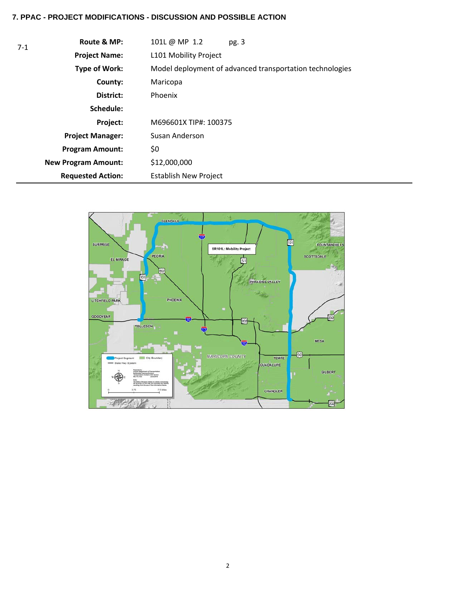#### **7. PPAC - PROJECT MODIFICATIONS - DISCUSSION AND POSSIBLE ACTION**

| $7-1$ | Route & MP:                | 101L @ MP 1.2<br>pg.3                                    |
|-------|----------------------------|----------------------------------------------------------|
|       | <b>Project Name:</b>       | L101 Mobility Project                                    |
|       | <b>Type of Work:</b>       | Model deployment of advanced transportation technologies |
|       | County:                    | Maricopa                                                 |
|       | District:                  | Phoenix                                                  |
|       | Schedule:                  |                                                          |
|       | Project:                   | M696601X TIP#: 100375                                    |
|       | <b>Project Manager:</b>    | Susan Anderson                                           |
|       | <b>Program Amount:</b>     | \$0                                                      |
|       | <b>New Program Amount:</b> | \$12,000,000                                             |
|       | <b>Requested Action:</b>   | <b>Establish New Project</b>                             |

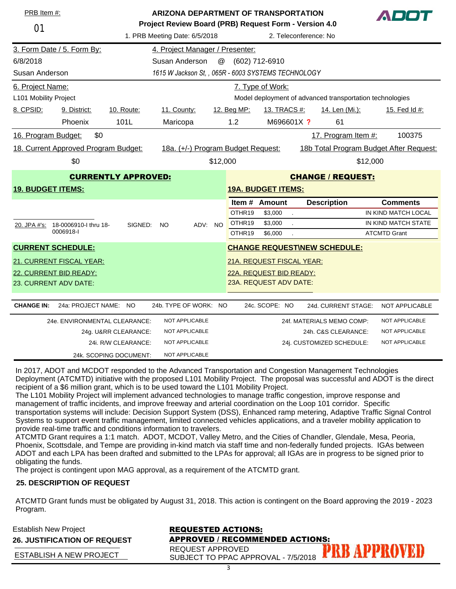| PRB Item #:              |                                      |                                                       | <b>ARIZONA DEPARTMENT OF TRANSPORTATION</b>         |          |             |                           |                                                          |                     |
|--------------------------|--------------------------------------|-------------------------------------------------------|-----------------------------------------------------|----------|-------------|---------------------------|----------------------------------------------------------|---------------------|
| 01                       |                                      | Project Review Board (PRB) Request Form - Version 4.0 |                                                     |          |             |                           |                                                          |                     |
|                          |                                      |                                                       | 1. PRB Meeting Date: 6/5/2018                       |          |             |                           | 2. Teleconference: No                                    |                     |
|                          | 3. Form Date / 5. Form By:           |                                                       | 4. Project Manager / Presenter:                     |          |             |                           |                                                          |                     |
| 6/8/2018                 |                                      |                                                       | Susan Anderson                                      | @        |             | (602) 712-6910            |                                                          |                     |
| Susan Anderson           |                                      |                                                       | 1615 W Jackson St, , 065R - 6003 SYSTEMS TECHNOLOGY |          |             |                           |                                                          |                     |
| 6. Project Name:         |                                      |                                                       |                                                     |          |             | 7. Type of Work:          |                                                          |                     |
| L101 Mobility Project    |                                      |                                                       |                                                     |          |             |                           | Model deployment of advanced transportation technologies |                     |
| 8. CPSID:                | 9. District:                         | 10. Route:                                            | 11. County:                                         |          | 12. Beg MP: | <u>13. TRACS #:</u>       | <u>14. Len (Mi.):</u>                                    | 15. Fed Id #:       |
|                          | Phoenix                              | 101L                                                  | Maricopa                                            |          | 1.2         | M696601X ?                | 61                                                       |                     |
| 16. Program Budget:      | \$0                                  |                                                       |                                                     |          |             |                           | 17. Program Item #:                                      | 100375              |
|                          | 18. Current Approved Program Budget: |                                                       | 18a. (+/-) Program Budget Request:                  |          |             |                           | 18b Total Program Budget After Request:                  |                     |
|                          | \$0                                  |                                                       |                                                     | \$12,000 |             |                           | \$12,000                                                 |                     |
|                          |                                      | <b>CURRENTLY APPROVED:</b>                            |                                                     |          |             |                           | <b>CHANGE / REQUEST:</b>                                 |                     |
| <b>19. BUDGET ITEMS:</b> |                                      |                                                       |                                                     |          |             | <b>19A. BUDGET ITEMS:</b> |                                                          |                     |
|                          |                                      |                                                       |                                                     |          |             | Item # Amount             | <b>Description</b>                                       | <b>Comments</b>     |
|                          |                                      |                                                       |                                                     |          | OTHR19      | \$3,000<br>$\mathcal{L}$  |                                                          | IN KIND MATCH LOCAL |
|                          |                                      | SIGNED:                                               | <b>NO</b>                                           | ADV: NO  | OTHR19      | \$3,000                   |                                                          | IN KIND MATCH STATE |
|                          | 20. JPA #'s: 18-0006910-1 thru 18-   |                                                       |                                                     |          |             |                           |                                                          |                     |
|                          | 0006918-I                            |                                                       |                                                     |          | OTHR19      | \$6,000                   |                                                          | <b>ATCMTD Grant</b> |
|                          | <b>CURRENT SCHEDULE:</b>             |                                                       |                                                     |          |             |                           | <b>CHANGE REQUEST\NEW SCHEDULE:</b>                      |                     |
|                          | 21. CURRENT FISCAL YEAR:             |                                                       |                                                     |          |             | 21A. REQUEST FISCAL YEAR: |                                                          |                     |
|                          | 22. CURRENT BID READY:               |                                                       |                                                     |          |             | 22A. REQUEST BID READY:   |                                                          |                     |
|                          | 23. CURRENT ADV DATE:                |                                                       |                                                     |          |             | 23A. REQUEST ADV DATE:    |                                                          |                     |
|                          |                                      |                                                       |                                                     |          |             |                           |                                                          |                     |
| <b>CHANGE IN:</b>        | 24a: PROJECT NAME: NO                |                                                       | 24b. TYPE OF WORK: NO                               |          |             | 24c. SCOPE: NO            | 24d. CURRENT STAGE:                                      | NOT APPLICABLE      |
|                          | 24e. ENVIRONMENTAL CLEARANCE:        |                                                       | NOT APPLICABLE                                      |          |             |                           | 24f. MATERIALS MEMO COMP:                                | NOT APPLICABLE      |
|                          |                                      | 24g. U&RR CLEARANCE:                                  | NOT APPLICABLE                                      |          |             |                           | 24h. C&S CLEARANCE:                                      | NOT APPLICABLE      |
|                          |                                      | 24i. R/W CLEARANCE:                                   | NOT APPLICABLE                                      |          |             |                           | 24j. CUSTOMIZED SCHEDULE:                                | NOT APPLICABLE      |

In 2017, ADOT and MCDOT responded to the Advanced Transportation and Congestion Management Technologies Deployment (ATCMTD) initiative with the proposed L101 Mobility Project. The proposal was successful and ADOT is the direct recipient of a \$6 million grant, which is to be used toward the L101 Mobility Project.

The L101 Mobility Project will implement advanced technologies to manage traffic congestion, improve response and management of traffic incidents, and improve freeway and arterial coordination on the Loop 101 corridor. Specific transportation systems will include: Decision Support System (DSS), Enhanced ramp metering, Adaptive Traffic Signal Control Systems to support event traffic management, limited connected vehicles applications, and a traveler mobility application to provide real-time traffic and conditions information to travelers.

ATCMTD Grant requires a 1:1 match. ADOT, MCDOT, Valley Metro, and the Cities of Chandler, Glendale, Mesa, Peoria, Phoenix, Scottsdale, and Tempe are providing in-kind match via staff time and non-federally funded projects. IGAs between ADOT and each LPA has been drafted and submitted to the LPAs for approval; all IGAs are in progress to be signed prior to obligating the funds.

The project is contingent upon MAG approval, as a requirement of the ATCMTD grant.

#### **25. DESCRIPTION OF REQUEST**

ATCMTD Grant funds must be obligated by August 31, 2018. This action is contingent on the Board approving the 2019 - 2023 Program.

| <b>Establish New Project</b>        | <b>REQUESTED ACTIONS:</b>                                            |  |  |  |
|-------------------------------------|----------------------------------------------------------------------|--|--|--|
| <b>26. JUSTIFICATION OF REQUEST</b> | APPROVED / RECOMMENDED ACTIONS:                                      |  |  |  |
| ESTABLISH A NEW PROJECT             | KEQUEST APPROVED<br>SUBJECT TO PPAC APPROVAL - 7/5/2018 PRB APPROVED |  |  |  |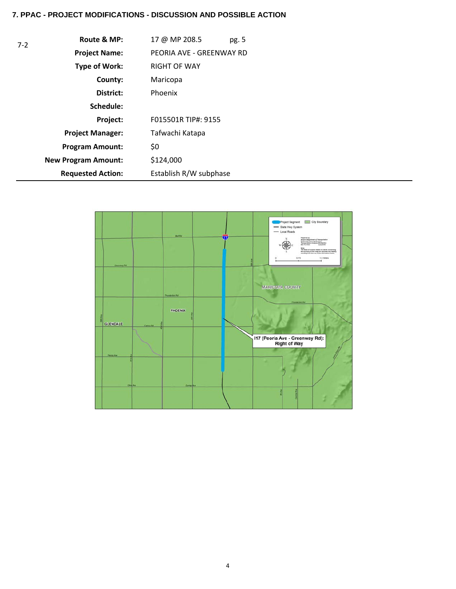#### **7. PPAC - PROJECT MODIFICATIONS - DISCUSSION AND POSSIBLE ACTION**

| $7 - 2$ | Route & MP:                | 17 @ MP 208.5                                     | pg. 5 |  |
|---------|----------------------------|---------------------------------------------------|-------|--|
|         | <b>Project Name:</b>       | PEORIA AVE - GREENWAY RD                          |       |  |
|         | <b>Type of Work:</b>       | <b>RIGHT OF WAY</b>                               |       |  |
|         | County:                    | Maricopa                                          |       |  |
|         | District:                  | Phoenix<br>F015501R TIP#: 9155<br>Tafwachi Katapa |       |  |
|         | Schedule:                  |                                                   |       |  |
|         | Project:                   |                                                   |       |  |
|         | <b>Project Manager:</b>    |                                                   |       |  |
|         | <b>Program Amount:</b>     | \$0                                               |       |  |
|         | <b>New Program Amount:</b> | \$124,000                                         |       |  |
|         | <b>Requested Action:</b>   | Establish R/W subphase                            |       |  |

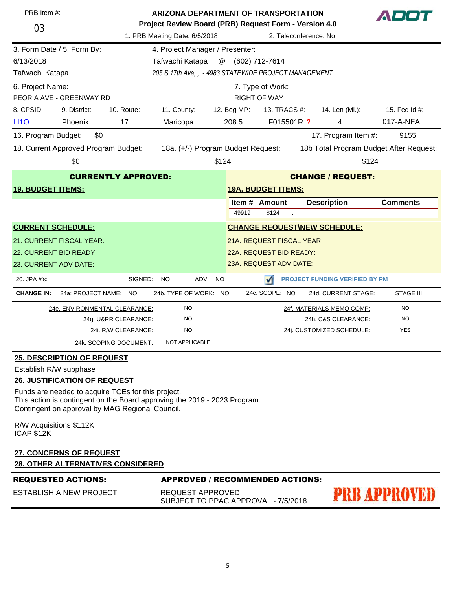| PRB Item #:                                                 |                                      |                               | <b>ARIZONA DEPARTMENT OF TRANSPORTATION</b>           |               |             |                           |                                       | ADDI                                    |
|-------------------------------------------------------------|--------------------------------------|-------------------------------|-------------------------------------------------------|---------------|-------------|---------------------------|---------------------------------------|-----------------------------------------|
| Project Review Board (PRB) Request Form - Version 4.0<br>03 |                                      |                               |                                                       |               |             |                           |                                       |                                         |
|                                                             |                                      |                               | 1. PRB Meeting Date: 6/5/2018                         |               |             | 2. Teleconference: No     |                                       |                                         |
|                                                             | 3. Form Date / 5. Form By:           |                               | 4. Project Manager / Presenter:                       |               |             |                           |                                       |                                         |
| 6/13/2018                                                   |                                      |                               | Tafwachi Katapa                                       | $^\copyright$ |             | (602) 712-7614            |                                       |                                         |
| Tafwachi Katapa                                             |                                      |                               | 205 S 17th Ave, , - 4983 STATEWIDE PROJECT MANAGEMENT |               |             |                           |                                       |                                         |
| 6. Project Name:                                            |                                      |                               |                                                       |               |             | 7. Type of Work:          |                                       |                                         |
|                                                             | PEORIA AVE - GREENWAY RD             |                               |                                                       |               |             | <b>RIGHT OF WAY</b>       |                                       |                                         |
| 8. CPSID:                                                   | 9. District:                         | 10. Route:                    | 11. County:                                           |               | 12. Beg MP: | 13. TRACS #:              | 14. Len (Mi.):                        | 15. Fed Id #:                           |
| <b>LI10</b>                                                 | Phoenix                              | 17                            | Maricopa                                              |               | 208.5       | F015501R ?                | 4                                     | 017-A-NFA                               |
| 16. Program Budget:                                         | \$0                                  |                               |                                                       |               |             |                           | 17. Program Item #:                   | 9155                                    |
|                                                             | 18. Current Approved Program Budget: |                               | 18a. (+/-) Program Budget Request:                    |               |             |                           |                                       | 18b Total Program Budget After Request: |
|                                                             | \$0                                  |                               |                                                       | \$124         |             |                           | \$124                                 |                                         |
| <b>CURRENTLY APPROVED:</b><br><b>CHANGE / REQUEST:</b>      |                                      |                               |                                                       |               |             |                           |                                       |                                         |
| <b>19. BUDGET ITEMS:</b>                                    |                                      |                               |                                                       |               |             | <b>19A. BUDGET ITEMS:</b> |                                       |                                         |
|                                                             |                                      |                               |                                                       |               |             | Item # Amount             | <b>Description</b>                    | <b>Comments</b>                         |
|                                                             |                                      |                               |                                                       |               | 49919       | \$124                     |                                       |                                         |
| <b>CURRENT SCHEDULE:</b>                                    |                                      |                               |                                                       |               |             |                           | <b>CHANGE REQUEST\NEW SCHEDULE:</b>   |                                         |
|                                                             | 21. CURRENT FISCAL YEAR:             |                               |                                                       |               |             | 21A. REQUEST FISCAL YEAR: |                                       |                                         |
|                                                             | 22. CURRENT BID READY:               |                               |                                                       |               |             | 22A. REQUEST BID READY:   |                                       |                                         |
| 23. CURRENT ADV DATE:                                       |                                      |                               |                                                       |               |             | 23A. REQUEST ADV DATE:    |                                       |                                         |
| 20. JPA #'s:                                                |                                      | SIGNED:                       | <b>NO</b>                                             | ADV: NO       |             | $\sqrt{}$                 | <b>PROJECT FUNDING VERIFIED BY PM</b> |                                         |
| <b>CHANGE IN:</b>                                           | 24a: PROJECT NAME:                   | <b>NO</b>                     | 24b. TYPE OF WORK: NO                                 |               |             | 24c. SCOPE: NO            | 24d. CURRENT STAGE:                   | <b>STAGE III</b>                        |
|                                                             |                                      | 24e. ENVIRONMENTAL CLEARANCE: | <b>NO</b>                                             |               |             |                           | 24f. MATERIALS MEMO COMP:             | <b>NO</b>                               |
|                                                             |                                      | 24g. U&RR CLEARANCE:          | <b>NO</b>                                             |               |             |                           | 24h. C&S CLEARANCE:                   | <b>NO</b>                               |
|                                                             |                                      | 24i. R/W CLEARANCE:           | <b>NO</b>                                             |               |             |                           | 24i. CUSTOMIZED SCHEDULE:             | <b>YES</b>                              |
|                                                             |                                      | 24k. SCOPING DOCUMENT:        | NOT APPLICABLE                                        |               |             |                           |                                       |                                         |

#### **25. DESCRIPTION OF REQUEST**

Establish R/W subphase

#### **26. JUSTIFICATION OF REQUEST**

Funds are needed to acquire TCEs for this project. This action is contingent on the Board approving the 2019 - 2023 Program. Contingent on approval by MAG Regional Council.

R/W Acquisitions \$112K ICAP \$12K

#### **27. CONCERNS OF REQUEST 28. OTHER ALTERNATIVES CONSIDERED**

REQUESTED ACTIONS: APPROVED / RECOMMENDED ACTIONS:

| ESTABLISH A NEW PROJECT | REQUEST APPROVED                    |
|-------------------------|-------------------------------------|
|                         | SUBJECT TO PPAC APPROVAL - 7/5/2018 |

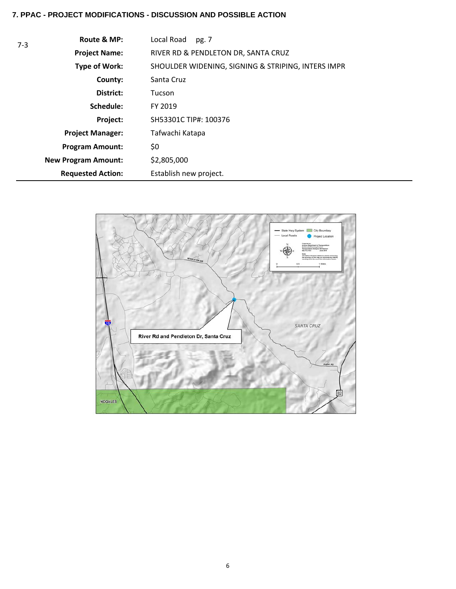#### **7. PPAC - PROJECT MODIFICATIONS - DISCUSSION AND POSSIBLE ACTION**

| $7-3$ | Route & MP:                | Local Road<br>pg. 7                                |
|-------|----------------------------|----------------------------------------------------|
|       | <b>Project Name:</b>       | RIVER RD & PENDLETON DR, SANTA CRUZ                |
|       | <b>Type of Work:</b>       | SHOULDER WIDENING, SIGNING & STRIPING, INTERS IMPR |
|       | County:                    | Santa Cruz                                         |
|       | District:                  | Tucson                                             |
|       | Schedule:                  | FY 2019                                            |
|       | Project:                   | SH53301C TIP#: 100376                              |
|       | <b>Project Manager:</b>    | Tafwachi Katapa                                    |
|       | <b>Program Amount:</b>     | \$0                                                |
|       | <b>New Program Amount:</b> | \$2,805,000                                        |
|       | <b>Requested Action:</b>   | Establish new project.                             |

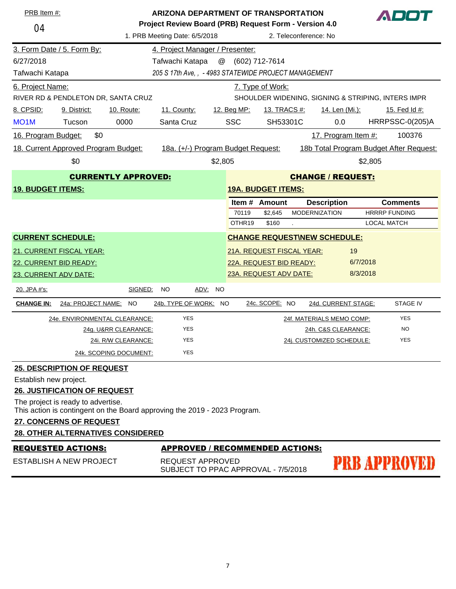| PRB Item #:                                                                                                     |                                    | <b>ARIZONA DEPARTMENT OF TRANSPORTATION</b>           |                           | ADOT                                    |
|-----------------------------------------------------------------------------------------------------------------|------------------------------------|-------------------------------------------------------|---------------------------|-----------------------------------------|
| 04                                                                                                              |                                    | Project Review Board (PRB) Request Form - Version 4.0 |                           |                                         |
|                                                                                                                 | 1. PRB Meeting Date: 6/5/2018      | 2. Teleconference: No                                 |                           |                                         |
| 3. Form Date / 5. Form By:                                                                                      | 4. Project Manager / Presenter:    |                                                       |                           |                                         |
| 6/27/2018                                                                                                       | Tafwachi Katapa<br>@               | (602) 712-7614                                        |                           |                                         |
| Tafwachi Katapa                                                                                                 |                                    | 205 S 17th Ave, , - 4983 STATEWIDE PROJECT MANAGEMENT |                           |                                         |
| 6. Project Name:                                                                                                |                                    | 7. Type of Work:                                      |                           |                                         |
| RIVER RD & PENDLETON DR, SANTA CRUZ                                                                             |                                    | SHOULDER WIDENING, SIGNING & STRIPING, INTERS IMPR    |                           |                                         |
| 8. CPSID:<br>9. District:<br>10. Route:                                                                         | 11. County:                        | 12. Beg MP:<br><u>13. TRACS #:</u>                    | <u>14. Len (Mi.):</u>     | 15. Fed Id #:                           |
| 0000<br>MO <sub>1</sub> M<br>Tucson                                                                             | Santa Cruz                         | <b>SSC</b><br>SH53301C                                | 0.0                       | HRRPSSC-0(205)A                         |
| 16. Program Budget:<br>\$0                                                                                      |                                    |                                                       | 17. Program Item #:       | 100376                                  |
| 18. Current Approved Program Budget:                                                                            | 18a. (+/-) Program Budget Request: |                                                       |                           | 18b Total Program Budget After Request: |
| \$0                                                                                                             | \$2,805                            |                                                       |                           | \$2,805                                 |
| <b>CURRENTLY APPROVED:</b>                                                                                      |                                    |                                                       | <b>CHANGE / REQUEST:</b>  |                                         |
| <b>19. BUDGET ITEMS:</b>                                                                                        |                                    | <b>19A. BUDGET ITEMS:</b>                             |                           |                                         |
|                                                                                                                 |                                    | Item # Amount                                         | <b>Description</b>        | <b>Comments</b>                         |
|                                                                                                                 |                                    | 70119<br>\$2,645                                      | <b>MODERNIZATION</b>      | <b>HRRRP FUNDING</b>                    |
|                                                                                                                 |                                    | OTHR19<br>\$160                                       |                           | <b>LOCAL MATCH</b>                      |
| <b>CURRENT SCHEDULE:</b>                                                                                        |                                    | <b>CHANGE REQUESTINEW SCHEDULE:</b>                   |                           |                                         |
| 21. CURRENT FISCAL YEAR:                                                                                        |                                    | 21A. REQUEST FISCAL YEAR:                             | 19                        |                                         |
| 22. CURRENT BID READY:                                                                                          |                                    | 22A. REQUEST BID READY:                               | 6/7/2018                  |                                         |
| 23. CURRENT ADV DATE:                                                                                           |                                    | 23A. REQUEST ADV DATE:                                | 8/3/2018                  |                                         |
| 20. JPA #'s:<br>SIGNED:                                                                                         | <u>ADV:</u><br>NO.<br>NO.          |                                                       |                           |                                         |
| 24a: PROJECT NAME:<br><b>CHANGE IN:</b><br>NO.                                                                  | 24b. TYPE OF WORK:<br>NO.          | 24c. SCOPE: NO                                        | 24d. CURRENT STAGE:       | <b>STAGE IV</b>                         |
| 24e. ENVIRONMENTAL CLEARANCE:                                                                                   | <b>YES</b>                         |                                                       | 24f. MATERIALS MEMO COMP: | <b>YES</b>                              |
| 24g. U&RR CLEARANCE:                                                                                            | <b>YES</b>                         |                                                       | 24h. C&S CLEARANCE:       | <b>NO</b>                               |
| 24i. R/W CLEARANCE:                                                                                             | <b>YES</b>                         |                                                       | 24j. CUSTOMIZED SCHEDULE: | <b>YES</b>                              |
| 24k. SCOPING DOCUMENT:                                                                                          | <b>YES</b>                         |                                                       |                           |                                         |
| <b>25. DESCRIPTION OF REQUEST</b>                                                                               |                                    |                                                       |                           |                                         |
| Establish new project.                                                                                          |                                    |                                                       |                           |                                         |
| <b>26. JUSTIFICATION OF REQUEST</b>                                                                             |                                    |                                                       |                           |                                         |
| The project is ready to advertise.<br>This action is contingent on the Board approving the 2019 - 2023 Program. |                                    |                                                       |                           |                                         |
| 27. CONCERNS OF REQUEST                                                                                         |                                    |                                                       |                           |                                         |
| <b>28. OTHER ALTERNATIVES CONSIDERED</b>                                                                        |                                    |                                                       |                           |                                         |
| <b>REQUESTED ACTIONS:</b>                                                                                       |                                    | <b>APPROVED / RECOMMENDED ACTIONS:</b>                |                           |                                         |
| <b>ESTABLISH A NEW PROJECT</b>                                                                                  | REQUEST APPROVED                   | SUBJECT TO PPAC APPROVAL - 7/5/2018                   |                           | PRB APPROVED                            |
|                                                                                                                 |                                    |                                                       |                           |                                         |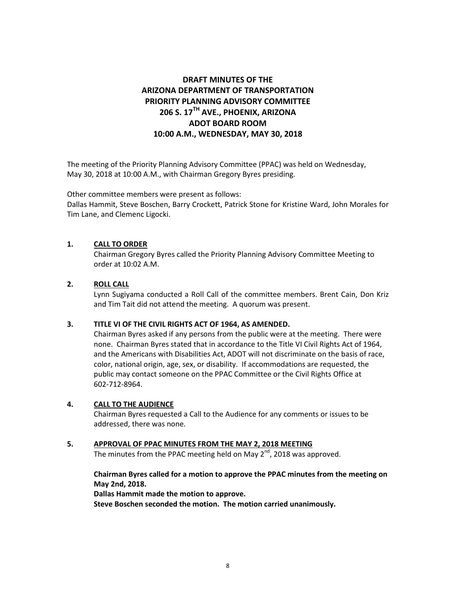### **DRAFT MINUTES OF THE ARIZONA DEPARTMENT OF TRANSPORTATION PRIORITY PLANNING ADVISORY COMMITTEE 206 S. 17TH AVE., PHOENIX, ARIZONA ADOT BOARD ROOM 10:00 A.M., WEDNESDAY, MAY 30, 2018**

The meeting of the Priority Planning Advisory Committee (PPAC) was held on Wednesday, May 30, 2018 at 10:00 A.M., with Chairman Gregory Byres presiding.

Other committee members were present as follows:

Dallas Hammit, Steve Boschen, Barry Crockett, Patrick Stone for Kristine Ward, John Morales for Tim Lane, and Clemenc Ligocki.

#### **1. CALL TO ORDER**

Chairman Gregory Byres called the Priority Planning Advisory Committee Meeting to order at 10:02 A.M.

#### **2. ROLL CALL**

Lynn Sugiyama conducted a Roll Call of the committee members. Brent Cain, Don Kriz and Tim Tait did not attend the meeting. A quorum was present.

#### **3. TITLE VI OF THE CIVIL RIGHTS ACT OF 1964, AS AMENDED.**

Chairman Byres asked if any persons from the public were at the meeting. There were none. Chairman Byres stated that in accordance to the Title VI Civil Rights Act of 1964, and the Americans with Disabilities Act, ADOT will not discriminate on the basis of race, color, national origin, age, sex, or disability. If accommodations are requested, the public may contact someone on the PPAC Committee or the Civil Rights Office at 602-712-8964.

#### **4. CALL TO THE AUDIENCE**

Chairman Byres requested a Call to the Audience for any comments or issues to be addressed, there was none.

**5. APPROVAL OF PPAC MINUTES FROM THE MAY 2, 2018 MEETING**

The minutes from the PPAC meeting held on May  $2^{nd}$ , 2018 was approved.

#### **Chairman Byres called for a motion to approve the PPAC minutes from the meeting on May 2nd, 2018.**

**Dallas Hammit made the motion to approve.** 

**Steve Boschen seconded the motion. The motion carried unanimously.**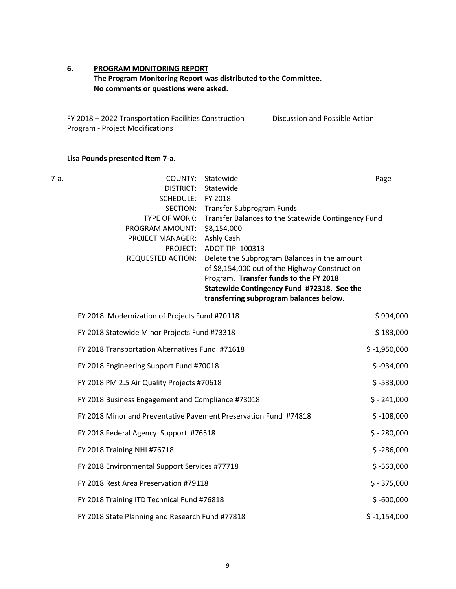#### **6. PROGRAM MONITORING REPORT The Program Monitoring Report was distributed to the Committee. No comments or questions were asked.**

FY 2018 – 2022 Transportation Facilities Construction Program - Project Modifications Discussion and Possible Action

#### **Lisa Pounds presented Item 7-a.**

| ×<br>. . |  |
|----------|--|

| 7-a. | COUNTY:                                                          | Statewide                                                          | Page           |
|------|------------------------------------------------------------------|--------------------------------------------------------------------|----------------|
|      | <b>DISTRICT:</b>                                                 | Statewide                                                          |                |
|      | SCHEDULE:                                                        | FY 2018                                                            |                |
|      | SECTION:                                                         | Transfer Subprogram Funds                                          |                |
|      | TYPE OF WORK:<br>PROGRAM AMOUNT:                                 | Transfer Balances to the Statewide Contingency Fund<br>\$8,154,000 |                |
|      | PROJECT MANAGER:                                                 | Ashly Cash                                                         |                |
|      | PROJECT:                                                         | ADOT TIP 100313                                                    |                |
|      | <b>REQUESTED ACTION:</b>                                         | Delete the Subprogram Balances in the amount                       |                |
|      |                                                                  | of \$8,154,000 out of the Highway Construction                     |                |
|      |                                                                  | Program. Transfer funds to the FY 2018                             |                |
|      |                                                                  | Statewide Contingency Fund #72318. See the                         |                |
|      |                                                                  | transferring subprogram balances below.                            |                |
|      | FY 2018 Modernization of Projects Fund #70118                    |                                                                    | \$994,000      |
|      | FY 2018 Statewide Minor Projects Fund #73318                     |                                                                    | \$183,000      |
|      | FY 2018 Transportation Alternatives Fund #71618                  |                                                                    | $$ -1,950,000$ |
|      | FY 2018 Engineering Support Fund #70018                          |                                                                    | $$ -934,000$   |
|      | FY 2018 PM 2.5 Air Quality Projects #70618                       |                                                                    | $$ -533,000$   |
|      | FY 2018 Business Engagement and Compliance #73018                |                                                                    | $$ - 241,000$  |
|      | FY 2018 Minor and Preventative Pavement Preservation Fund #74818 |                                                                    | $$ -108,000$   |
|      | FY 2018 Federal Agency Support #76518                            |                                                                    | $$ - 280,000$  |
|      | FY 2018 Training NHI #76718                                      | $$ -286,000$                                                       |                |
|      | FY 2018 Environmental Support Services #77718                    |                                                                    | $$ -563,000$   |
|      | FY 2018 Rest Area Preservation #79118                            |                                                                    | $$ -375,000$   |
|      | FY 2018 Training ITD Technical Fund #76818                       |                                                                    | $$ -600,000$   |
|      | FY 2018 State Planning and Research Fund #77818                  |                                                                    | $$ -1,154,000$ |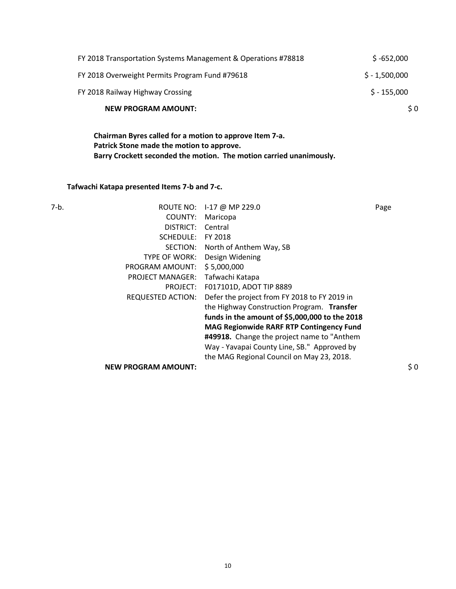| FY 2018 Transportation Systems Management & Operations #78818 | $$ -652,000$   |
|---------------------------------------------------------------|----------------|
| FY 2018 Overweight Permits Program Fund #79618                | $$ -1,500,000$ |
| FY 2018 Railway Highway Crossing                              | $$ -155,000$   |
| <b>NEW PROGRAM AMOUNT:</b>                                    | S 0            |

**Chairman Byres called for a motion to approve Item 7-a. Patrick Stone made the motion to approve. Barry Crockett seconded the motion. The motion carried unanimously.** 

**Tafwachi Katapa presented Items 7-b and 7-c.** 

| ROUTE NO:                  |                                                 | Page            |
|----------------------------|-------------------------------------------------|-----------------|
| COUNTY:                    | Maricopa                                        |                 |
| DISTRICT:                  | Central                                         |                 |
| SCHEDULE:                  | FY 2018                                         |                 |
| SECTION:                   | North of Anthem Way, SB                         |                 |
| TYPE OF WORK:              | Design Widening                                 |                 |
| PROGRAM AMOUNT:            | \$5,000,000                                     |                 |
| <b>PROJECT MANAGER:</b>    | Tafwachi Katapa                                 |                 |
| PROJECT:                   | F017101D, ADOT TIP 8889                         |                 |
| <b>REQUESTED ACTION:</b>   | Defer the project from FY 2018 to FY 2019 in    |                 |
|                            | the Highway Construction Program. Transfer      |                 |
|                            | funds in the amount of \$5,000,000 to the 2018  |                 |
|                            | <b>MAG Regionwide RARF RTP Contingency Fund</b> |                 |
|                            | #49918. Change the project name to "Anthem"     |                 |
|                            | Way - Yavapai County Line, SB." Approved by     |                 |
|                            | the MAG Regional Council on May 23, 2018.       |                 |
| <b>NEW PROGRAM AMOUNT:</b> |                                                 | $\frac{1}{2}$ 0 |
|                            |                                                 | I-17 @ MP 229.0 |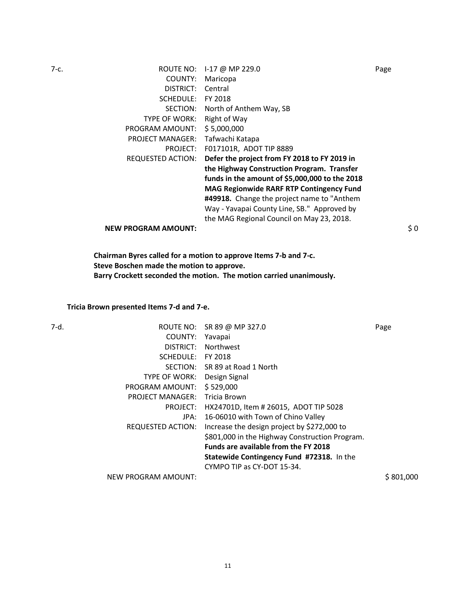| 7-c. | ROUTE NO:                  | 1-17 @ MP 229.0                                 | Page |
|------|----------------------------|-------------------------------------------------|------|
|      | COUNTY:                    | Maricopa                                        |      |
|      | DISTRICT:                  | Central                                         |      |
|      | SCHEDULE:                  | FY 2018                                         |      |
|      | SECTION:                   | North of Anthem Way, SB                         |      |
|      | TYPE OF WORK:              | <b>Right of Way</b>                             |      |
|      | PROGRAM AMOUNT:            | \$5,000,000                                     |      |
|      | <b>PROJECT MANAGER:</b>    | Tafwachi Katapa                                 |      |
|      | PROJECT:                   | F017101R, ADOT TIP 8889                         |      |
|      | REQUESTED ACTION:          | Defer the project from FY 2018 to FY 2019 in    |      |
|      |                            | the Highway Construction Program. Transfer      |      |
|      |                            | funds in the amount of \$5,000,000 to the 2018  |      |
|      |                            | <b>MAG Regionwide RARF RTP Contingency Fund</b> |      |
|      |                            | #49918. Change the project name to "Anthem"     |      |
|      |                            | Way - Yavapai County Line, SB." Approved by     |      |
|      |                            | the MAG Regional Council on May 23, 2018.       |      |
|      | <b>NEW PROGRAM AMOUNT:</b> |                                                 | \$0  |
|      |                            |                                                 |      |

**Chairman Byres called for a motion to approve Items 7-b and 7-c. Steve Boschen made the motion to approve. Barry Crockett seconded the motion. The motion carried unanimously.** 

#### **Tricia Brown presented Items 7-d and 7-e.**

| 7-d. |                         | ROUTE NO: SR 89 @ MP 327.0                     | Page      |
|------|-------------------------|------------------------------------------------|-----------|
|      | COUNTY:                 | Yavapai                                        |           |
|      | DISTRICT:               | <b>Northwest</b>                               |           |
|      | SCHEDULE:               | FY 2018                                        |           |
|      |                         | SECTION: SR 89 at Road 1 North                 |           |
|      | <b>TYPE OF WORK:</b>    | Design Signal                                  |           |
|      | PROGRAM AMOUNT:         | \$529,000                                      |           |
|      | <b>PROJECT MANAGER:</b> | Tricia Brown                                   |           |
|      | PROJECT:                | HX24701D, Item # 26015, ADOT TIP 5028          |           |
|      | JPA:                    | 16-06010 with Town of Chino Valley             |           |
|      | REQUESTED ACTION:       | Increase the design project by \$272,000 to    |           |
|      |                         | \$801,000 in the Highway Construction Program. |           |
|      |                         | <b>Funds are available from the FY 2018</b>    |           |
|      |                         | Statewide Contingency Fund #72318. In the      |           |
|      |                         | CYMPO TIP as CY-DOT 15-34.                     |           |
|      | NEW PROGRAM AMOUNT:     |                                                | \$801,000 |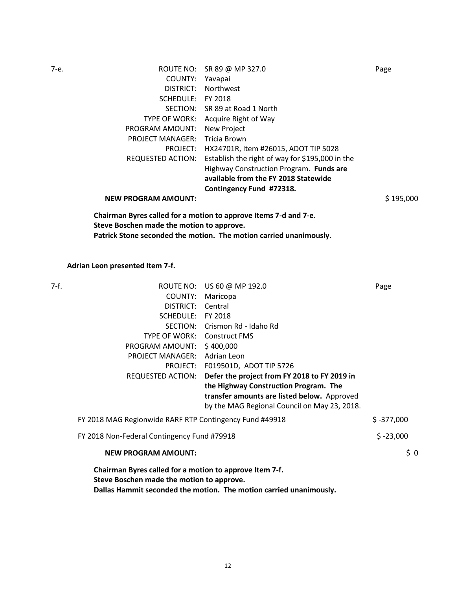| 7-е. |                            | ROUTE NO: SR 89 @ MP 327.0                      | Page      |
|------|----------------------------|-------------------------------------------------|-----------|
|      | COUNTY:                    | Yavapai                                         |           |
|      | DISTRICT:                  | <b>Northwest</b>                                |           |
|      | SCHEDULE:                  | FY 2018                                         |           |
|      |                            | SECTION: SR 89 at Road 1 North                  |           |
|      | TYPE OF WORK:              | Acquire Right of Way                            |           |
|      | PROGRAM AMOUNT:            | <b>New Project</b>                              |           |
|      | <b>PROJECT MANAGER:</b>    | Tricia Brown                                    |           |
|      | PROJECT:                   | HX24701R, Item #26015, ADOT TIP 5028            |           |
|      | REQUESTED ACTION:          | Establish the right of way for \$195,000 in the |           |
|      |                            | Highway Construction Program. Funds are         |           |
|      |                            | available from the FY 2018 Statewide            |           |
|      |                            | Contingency Fund #72318.                        |           |
|      | <b>NEW PROGRAM AMOUNT:</b> |                                                 | \$195,000 |
|      |                            |                                                 |           |

**Chairman Byres called for a motion to approve Items 7-d and 7-e. Steve Boschen made the motion to approve. Patrick Stone seconded the motion. The motion carried unanimously.** 

**Adrian Leon presented Item 7-f.** 

| 7-f. |                                                                                                      | ROUTE NO: US 60 @ MP 192.0                                                                                                           | Page         |
|------|------------------------------------------------------------------------------------------------------|--------------------------------------------------------------------------------------------------------------------------------------|--------------|
|      | COUNTY:                                                                                              | Maricopa                                                                                                                             |              |
|      | DISTRICT:                                                                                            | Central                                                                                                                              |              |
|      | SCHEDULE: FY 2018                                                                                    |                                                                                                                                      |              |
|      | SECTION:                                                                                             | Crismon Rd - Idaho Rd                                                                                                                |              |
|      | TYPE OF WORK:                                                                                        | <b>Construct FMS</b>                                                                                                                 |              |
|      | PROGRAM AMOUNT:                                                                                      | \$400,000                                                                                                                            |              |
|      | PROJECT MANAGER:                                                                                     | Adrian Leon                                                                                                                          |              |
|      |                                                                                                      | PROJECT: F019501D, ADOT TIP 5726                                                                                                     |              |
|      | REQUESTED ACTION:                                                                                    | Defer the project from FY 2018 to FY 2019 in                                                                                         |              |
|      |                                                                                                      | the Highway Construction Program. The<br>transfer amounts are listed below. Approved<br>by the MAG Regional Council on May 23, 2018. |              |
|      | FY 2018 MAG Regionwide RARF RTP Contingency Fund #49918                                              |                                                                                                                                      | $$ -377,000$ |
|      | FY 2018 Non-Federal Contingency Fund #79918                                                          |                                                                                                                                      | $$ -23,000$  |
|      | <b>NEW PROGRAM AMOUNT:</b>                                                                           |                                                                                                                                      | \$0          |
|      | Chairman Byres called for a motion to approve Item 7-f.<br>Steve Boschen made the motion to approve. | Dallas Hammit seconded the motion. The motion carried unanimously.                                                                   |              |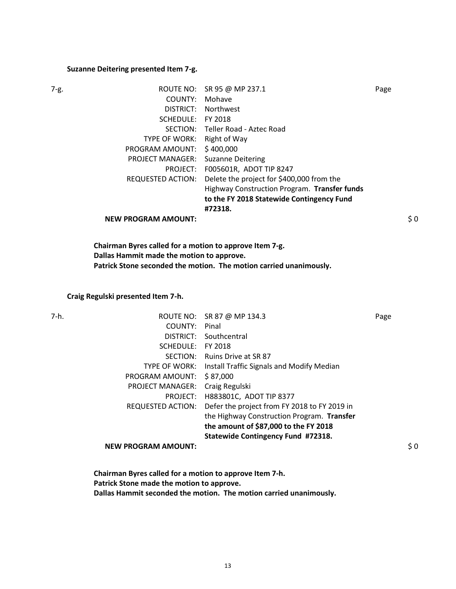#### **Suzanne Deitering presented Item 7-g.**

| 7-g. |                            | ROUTE NO: SR 95 @ MP 237.1                   | Page           |
|------|----------------------------|----------------------------------------------|----------------|
|      | COUNTY:                    | Mohave                                       |                |
|      | DISTRICT:                  | <b>Northwest</b>                             |                |
|      | SCHEDULE:                  | FY 2018                                      |                |
|      | SECTION:                   | Teller Road - Aztec Road                     |                |
|      | TYPE OF WORK:              | Right of Way                                 |                |
|      | PROGRAM AMOUNT:            | \$400,000                                    |                |
|      | <b>PROJECT MANAGER:</b>    | <b>Suzanne Deitering</b>                     |                |
|      | PROJECT:                   | F005601R, ADOT TIP 8247                      |                |
|      | REQUESTED ACTION:          | Delete the project for \$400,000 from the    |                |
|      |                            | Highway Construction Program. Transfer funds |                |
|      |                            | to the FY 2018 Statewide Contingency Fund    |                |
|      |                            | #72318.                                      |                |
|      | <b>NEW PROGRAM AMOUNT:</b> |                                              | $\frac{1}{2}0$ |

**Chairman Byres called for a motion to approve Item 7-g. Dallas Hammit made the motion to approve. Patrick Stone seconded the motion. The motion carried unanimously.** 

#### **Craig Regulski presented Item 7-h.**

| 7-h. |                            | ROUTE NO: SR 87 @ MP 134.3                   | Page            |
|------|----------------------------|----------------------------------------------|-----------------|
|      | COUNTY:                    | Pinal                                        |                 |
|      | DISTRICT:                  | Southcentral                                 |                 |
|      | SCHEDULE:                  | FY 2018                                      |                 |
|      | SECTION:                   | <b>Ruins Drive at SR 87</b>                  |                 |
|      | <b>TYPE OF WORK:</b>       | Install Traffic Signals and Modify Median    |                 |
|      | PROGRAM AMOUNT:            | \$87,000                                     |                 |
|      | <b>PROJECT MANAGER:</b>    | Craig Regulski                               |                 |
|      | PROJECT:                   | H883801C, ADOT TIP 8377                      |                 |
|      | <b>REQUESTED ACTION:</b>   | Defer the project from FY 2018 to FY 2019 in |                 |
|      |                            | the Highway Construction Program. Transfer   |                 |
|      |                            | the amount of \$87,000 to the FY 2018        |                 |
|      |                            | Statewide Contingency Fund #72318.           |                 |
|      | <b>NEW PROGRAM AMOUNT:</b> |                                              | $\frac{1}{2}$ 0 |
|      |                            |                                              |                 |

**Chairman Byres called for a motion to approve Item 7-h. Patrick Stone made the motion to approve. Dallas Hammit seconded the motion. The motion carried unanimously.**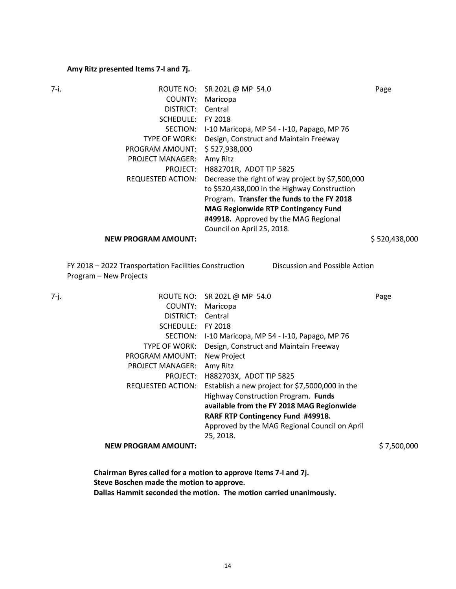#### **Amy Ritz presented Items 7-I and 7j.**

| 7-i. | ROUTE NO:                  | SR 202L @ MP 54.0                                | Page          |
|------|----------------------------|--------------------------------------------------|---------------|
|      | COUNTY:                    | Maricopa                                         |               |
|      | DISTRICT:                  | Central                                          |               |
|      | <b>SCHEDULE:</b>           | FY 2018                                          |               |
|      | SECTION:                   | I-10 Maricopa, MP 54 - I-10, Papago, MP 76       |               |
|      | TYPE OF WORK:              | Design, Construct and Maintain Freeway           |               |
|      | PROGRAM AMOUNT:            | \$527,938,000                                    |               |
|      | <b>PROJECT MANAGER:</b>    | Amy Ritz                                         |               |
|      | PROJECT:                   | H882701R, ADOT TIP 5825                          |               |
|      | REQUESTED ACTION:          | Decrease the right of way project by \$7,500,000 |               |
|      |                            | to \$520,438,000 in the Highway Construction     |               |
|      |                            | Program. Transfer the funds to the FY 2018       |               |
|      |                            | <b>MAG Regionwide RTP Contingency Fund</b>       |               |
|      |                            | #49918. Approved by the MAG Regional             |               |
|      |                            | Council on April 25, 2018.                       |               |
|      | <b>NEW PROGRAM AMOUNT:</b> |                                                  | \$520,438,000 |
|      |                            |                                                  |               |
|      |                            |                                                  |               |

FY 2018 – 2022 Transportation Facilities Construction Program – New Projects Discussion and Possible Action

| 7-j. |                            | ROUTE NO: SR 202L @ MP 54.0                     | Page        |
|------|----------------------------|-------------------------------------------------|-------------|
|      | COUNTY:                    | Maricopa                                        |             |
|      | DISTRICT:                  | Central                                         |             |
|      | SCHEDULE:                  | FY 2018                                         |             |
|      | SECTION:                   | I-10 Maricopa, MP 54 - I-10, Papago, MP 76      |             |
|      | TYPE OF WORK:              | Design, Construct and Maintain Freeway          |             |
|      | PROGRAM AMOUNT:            | New Project                                     |             |
|      | <b>PROJECT MANAGER:</b>    | Amy Ritz                                        |             |
|      | PROJECT:                   | H882703X, ADOT TIP 5825                         |             |
|      | <b>REQUESTED ACTION:</b>   | Establish a new project for \$7,5000,000 in the |             |
|      |                            | Highway Construction Program. Funds             |             |
|      |                            | available from the FY 2018 MAG Regionwide       |             |
|      |                            | RARF RTP Contingency Fund #49918.               |             |
|      |                            | Approved by the MAG Regional Council on April   |             |
|      |                            | 25, 2018.                                       |             |
|      | <b>NEW PROGRAM AMOUNT:</b> |                                                 | \$7,500,000 |
|      |                            |                                                 |             |

| Chairman Byres called for a motion to approve Items 7-I and 7j.    |
|--------------------------------------------------------------------|
| Steve Boschen made the motion to approve.                          |
| Dallas Hammit seconded the motion. The motion carried unanimously. |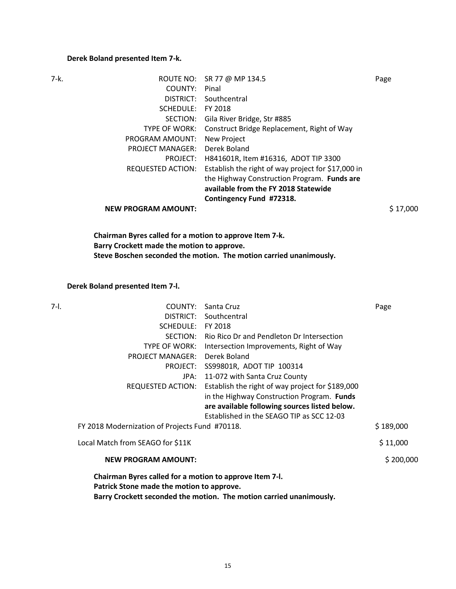#### **Derek Boland presented Item 7-k.**

| 7-k. |                            | ROUTE NO: SR 77 @ MP 134.5                         | Page     |
|------|----------------------------|----------------------------------------------------|----------|
|      | COUNTY:                    | Pinal                                              |          |
|      | DISTRICT:                  | Southcentral                                       |          |
|      | SCHEDULE:                  | FY 2018                                            |          |
|      | SECTION:                   | Gila River Bridge, Str #885                        |          |
|      | TYPE OF WORK:              | Construct Bridge Replacement, Right of Way         |          |
|      | PROGRAM AMOUNT:            | New Project                                        |          |
|      | <b>PROJECT MANAGER:</b>    | Derek Boland                                       |          |
|      | PROJECT:                   | H841601R, Item #16316, ADOT TIP 3300               |          |
|      | REQUESTED ACTION:          | Establish the right of way project for \$17,000 in |          |
|      |                            | the Highway Construction Program. Funds are        |          |
|      |                            | available from the FY 2018 Statewide               |          |
|      |                            | Contingency Fund #72318.                           |          |
|      | <b>NEW PROGRAM AMOUNT:</b> |                                                    | \$17,000 |
|      |                            |                                                    |          |

**Chairman Byres called for a motion to approve Item 7-k. Barry Crockett made the motion to approve. Steve Boschen seconded the motion. The motion carried unanimously.** 

**Derek Boland presented Item 7-l.** 

| DISTRICT:<br>Southcentral<br>SCHEDULE: FY 2018<br>SECTION:<br>Rio Rico Dr and Pendleton Dr Intersection<br><b>TYPE OF WORK:</b><br>Intersection Improvements, Right of Way<br>Derek Boland<br><b>PROJECT MANAGER:</b><br>PROJECT: SS99801R, ADOT TIP 100314<br>11-072 with Santa Cruz County<br>JPA:<br>Establish the right of way project for \$189,000<br>REQUESTED ACTION:<br>in the Highway Construction Program. Funds<br>are available following sources listed below.<br>Established in the SEAGO TIP as SCC 12-03<br>FY 2018 Modernization of Projects Fund #70118.<br>Local Match from SEAGO for \$11K<br><b>NEW PROGRAM AMOUNT:</b><br>Chairman Byres called for a motion to approve Item 7-I.<br>Patrick Stone made the motion to approve. | 7-I. | COUNTY:                                                             | Santa Cruz | Page      |
|-------------------------------------------------------------------------------------------------------------------------------------------------------------------------------------------------------------------------------------------------------------------------------------------------------------------------------------------------------------------------------------------------------------------------------------------------------------------------------------------------------------------------------------------------------------------------------------------------------------------------------------------------------------------------------------------------------------------------------------------------------|------|---------------------------------------------------------------------|------------|-----------|
|                                                                                                                                                                                                                                                                                                                                                                                                                                                                                                                                                                                                                                                                                                                                                       |      |                                                                     |            |           |
|                                                                                                                                                                                                                                                                                                                                                                                                                                                                                                                                                                                                                                                                                                                                                       |      |                                                                     |            |           |
|                                                                                                                                                                                                                                                                                                                                                                                                                                                                                                                                                                                                                                                                                                                                                       |      |                                                                     |            |           |
|                                                                                                                                                                                                                                                                                                                                                                                                                                                                                                                                                                                                                                                                                                                                                       |      |                                                                     |            |           |
|                                                                                                                                                                                                                                                                                                                                                                                                                                                                                                                                                                                                                                                                                                                                                       |      |                                                                     |            |           |
|                                                                                                                                                                                                                                                                                                                                                                                                                                                                                                                                                                                                                                                                                                                                                       |      |                                                                     |            |           |
|                                                                                                                                                                                                                                                                                                                                                                                                                                                                                                                                                                                                                                                                                                                                                       |      |                                                                     |            |           |
|                                                                                                                                                                                                                                                                                                                                                                                                                                                                                                                                                                                                                                                                                                                                                       |      |                                                                     |            |           |
|                                                                                                                                                                                                                                                                                                                                                                                                                                                                                                                                                                                                                                                                                                                                                       |      |                                                                     |            |           |
|                                                                                                                                                                                                                                                                                                                                                                                                                                                                                                                                                                                                                                                                                                                                                       |      |                                                                     |            |           |
|                                                                                                                                                                                                                                                                                                                                                                                                                                                                                                                                                                                                                                                                                                                                                       |      |                                                                     |            |           |
|                                                                                                                                                                                                                                                                                                                                                                                                                                                                                                                                                                                                                                                                                                                                                       |      |                                                                     |            | \$189,000 |
|                                                                                                                                                                                                                                                                                                                                                                                                                                                                                                                                                                                                                                                                                                                                                       |      |                                                                     |            | \$11,000  |
|                                                                                                                                                                                                                                                                                                                                                                                                                                                                                                                                                                                                                                                                                                                                                       |      |                                                                     |            | \$200,000 |
|                                                                                                                                                                                                                                                                                                                                                                                                                                                                                                                                                                                                                                                                                                                                                       |      | Barry Crockett seconded the motion. The motion carried unanimously. |            |           |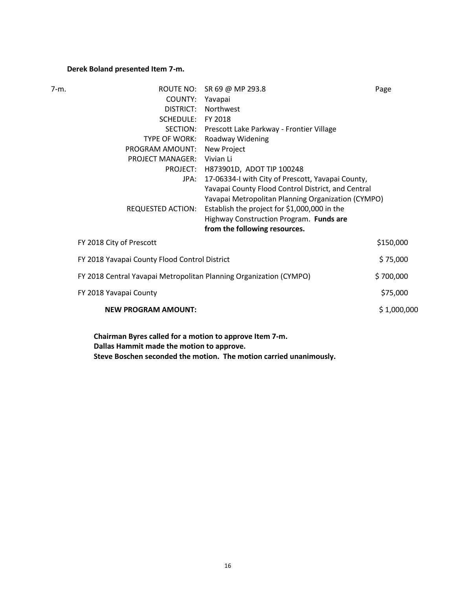#### **Derek Boland presented Item 7-m.**

| 7-m. |                                                                    | ROUTE NO: SR 69 @ MP 293.8                             | Page        |
|------|--------------------------------------------------------------------|--------------------------------------------------------|-------------|
|      | COUNTY: Yavapai                                                    |                                                        |             |
|      |                                                                    | DISTRICT: Northwest                                    |             |
|      | SCHEDULE: FY 2018                                                  |                                                        |             |
|      |                                                                    | SECTION: Prescott Lake Parkway - Frontier Village      |             |
|      | TYPE OF WORK:                                                      | Roadway Widening                                       |             |
|      | PROGRAM AMOUNT:                                                    | New Project                                            |             |
|      | PROJECT MANAGER: Vivian Li                                         |                                                        |             |
|      |                                                                    | PROJECT: H873901D, ADOT TIP 100248                     |             |
|      |                                                                    | JPA: 17-06334-I with City of Prescott, Yavapai County, |             |
|      |                                                                    | Yavapai County Flood Control District, and Central     |             |
|      |                                                                    | Yavapai Metropolitan Planning Organization (CYMPO)     |             |
|      | <b>REQUESTED ACTION:</b>                                           | Establish the project for \$1,000,000 in the           |             |
|      |                                                                    | Highway Construction Program. Funds are                |             |
|      |                                                                    | from the following resources.                          |             |
|      | FY 2018 City of Prescott                                           |                                                        | \$150,000   |
|      | FY 2018 Yavapai County Flood Control District                      |                                                        | \$75,000    |
|      | FY 2018 Central Yavapai Metropolitan Planning Organization (CYMPO) |                                                        | \$700,000   |
|      | FY 2018 Yavapai County                                             |                                                        | \$75,000    |
|      | <b>NEW PROGRAM AMOUNT:</b>                                         |                                                        | \$1,000,000 |
|      |                                                                    |                                                        |             |

**Chairman Byres called for a motion to approve Item 7-m. Dallas Hammit made the motion to approve. Steve Boschen seconded the motion. The motion carried unanimously.**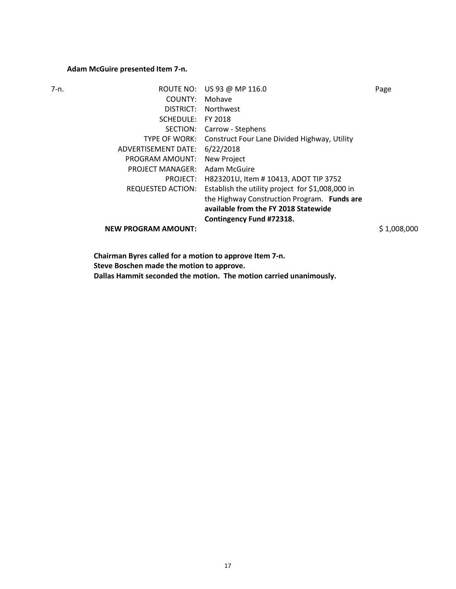#### **Adam McGuire presented Item 7-n.**

|--|

| ROUTE NO:                  |                                                  | Page             |
|----------------------------|--------------------------------------------------|------------------|
| COUNTY:                    | Mohave                                           |                  |
| DISTRICT:                  | Northwest                                        |                  |
| SCHEDULE:                  | FY 2018                                          |                  |
| SECTION:                   | Carrow - Stephens                                |                  |
| <b>TYPE OF WORK:</b>       | Construct Four Lane Divided Highway, Utility     |                  |
| ADVERTISEMENT DATE:        | 6/22/2018                                        |                  |
| PROGRAM AMOUNT:            | New Project                                      |                  |
| <b>PROJECT MANAGER:</b>    | Adam McGuire                                     |                  |
| PROJECT:                   | H823201U, Item #10413, ADOT TIP 3752             |                  |
| REQUESTED ACTION:          | Establish the utility project for \$1,008,000 in |                  |
|                            | the Highway Construction Program. Funds are      |                  |
|                            | available from the FY 2018 Statewide             |                  |
|                            | Contingency Fund #72318.                         |                  |
| <b>NEW PROGRAM AMOUNT:</b> |                                                  | \$1,008,000      |
|                            |                                                  | US 93 @ MP 116.0 |

**Chairman Byres called for a motion to approve Item 7-n. Steve Boschen made the motion to approve. Dallas Hammit seconded the motion. The motion carried unanimously.**